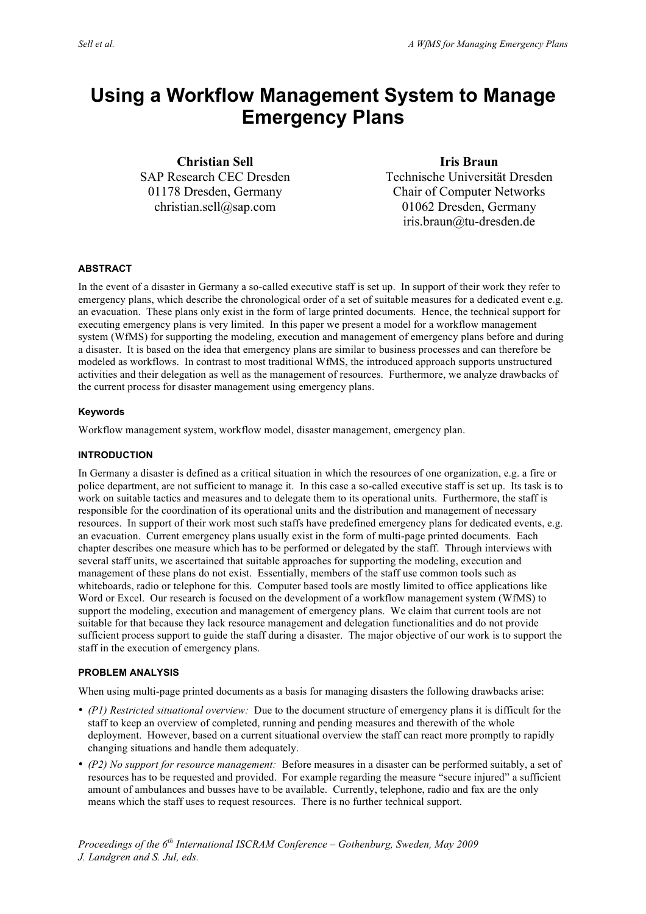# **Using a Workflow Management System to Manage Emergency Plans**

**Christian Sell** SAP Research CEC Dresden 01178 Dresden, Germany christian.sell@sap.com

**Iris Braun** Technische Universität Dresden Chair of Computer Networks 01062 Dresden, Germany iris.braun@tu-dresden.de

# **ABSTRACT**

In the event of a disaster in Germany a so-called executive staff is set up. In support of their work they refer to emergency plans, which describe the chronological order of a set of suitable measures for a dedicated event e.g. an evacuation. These plans only exist in the form of large printed documents. Hence, the technical support for executing emergency plans is very limited. In this paper we present a model for a workflow management system (WfMS) for supporting the modeling, execution and management of emergency plans before and during a disaster. It is based on the idea that emergency plans are similar to business processes and can therefore be modeled as workflows. In contrast to most traditional WfMS, the introduced approach supports unstructured activities and their delegation as well as the management of resources. Furthermore, we analyze drawbacks of the current process for disaster management using emergency plans.

## **Keywords**

Workflow management system, workflow model, disaster management, emergency plan.

## **INTRODUCTION**

In Germany a disaster is defined as a critical situation in which the resources of one organization, e.g. a fire or police department, are not sufficient to manage it. In this case a so-called executive staff is set up. Its task is to work on suitable tactics and measures and to delegate them to its operational units. Furthermore, the staff is responsible for the coordination of its operational units and the distribution and management of necessary resources. In support of their work most such staffs have predefined emergency plans for dedicated events, e.g. an evacuation. Current emergency plans usually exist in the form of multi-page printed documents. Each chapter describes one measure which has to be performed or delegated by the staff. Through interviews with several staff units, we ascertained that suitable approaches for supporting the modeling, execution and management of these plans do not exist. Essentially, members of the staff use common tools such as whiteboards, radio or telephone for this. Computer based tools are mostly limited to office applications like Word or Excel. Our research is focused on the development of a workflow management system (WfMS) to support the modeling, execution and management of emergency plans. We claim that current tools are not suitable for that because they lack resource management and delegation functionalities and do not provide sufficient process support to guide the staff during a disaster. The major objective of our work is to support the staff in the execution of emergency plans.

### **PROBLEM ANALYSIS**

When using multi-page printed documents as a basis for managing disasters the following drawbacks arise:

- *(P1) Restricted situational overview:* Due to the document structure of emergency plans it is difficult for the staff to keep an overview of completed, running and pending measures and therewith of the whole deployment. However, based on a current situational overview the staff can react more promptly to rapidly changing situations and handle them adequately.
- *(P2) No support for resource management:* Before measures in a disaster can be performed suitably, a set of resources has to be requested and provided. For example regarding the measure "secure injured" a sufficient amount of ambulances and busses have to be available. Currently, telephone, radio and fax are the only means which the staff uses to request resources. There is no further technical support.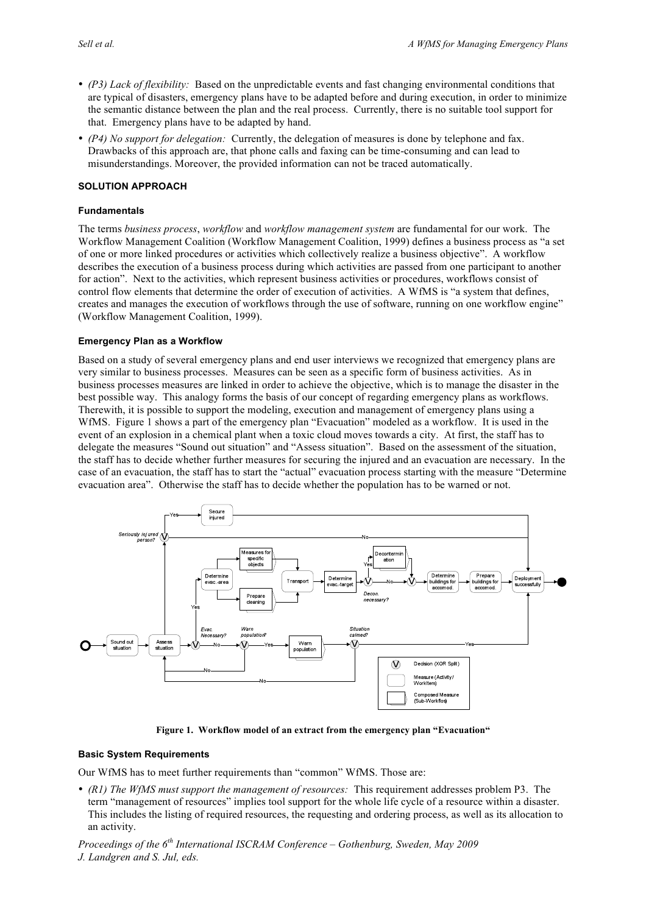- *(P3) Lack of flexibility:* Based on the unpredictable events and fast changing environmental conditions that are typical of disasters, emergency plans have to be adapted before and during execution, in order to minimize the semantic distance between the plan and the real process. Currently, there is no suitable tool support for that. Emergency plans have to be adapted by hand.
- *(P4) No support for delegation:* Currently, the delegation of measures is done by telephone and fax. Drawbacks of this approach are, that phone calls and faxing can be time-consuming and can lead to misunderstandings. Moreover, the provided information can not be traced automatically.

# **SOLUTION APPROACH**

### **Fundamentals**

The terms *business process*, *workflow* and *workflow management system* are fundamental for our work. The Workflow Management Coalition (Workflow Management Coalition, 1999) defines a business process as "a set of one or more linked procedures or activities which collectively realize a business objective". A workflow describes the execution of a business process during which activities are passed from one participant to another for action". Next to the activities, which represent business activities or procedures, workflows consist of control flow elements that determine the order of execution of activities. A WfMS is "a system that defines, creates and manages the execution of workflows through the use of software, running on one workflow engine" (Workflow Management Coalition, 1999).

### **Emergency Plan as a Workflow**

Based on a study of several emergency plans and end user interviews we recognized that emergency plans are very similar to business processes. Measures can be seen as a specific form of business activities. As in business processes measures are linked in order to achieve the objective, which is to manage the disaster in the best possible way. This analogy forms the basis of our concept of regarding emergency plans as workflows. Therewith, it is possible to support the modeling, execution and management of emergency plans using a WfMS. Figure 1 shows a part of the emergency plan "Evacuation" modeled as a workflow. It is used in the event of an explosion in a chemical plant when a toxic cloud moves towards a city. At first, the staff has to delegate the measures "Sound out situation" and "Assess situation". Based on the assessment of the situation, the staff has to decide whether further measures for securing the injured and an evacuation are necessary. In the case of an evacuation, the staff has to start the "actual" evacuation process starting with the measure "Determine evacuation area". Otherwise the staff has to decide whether the population has to be warned or not.



**Figure 1. Workflow model of an extract from the emergency plan "Evacuation"**

### **Basic System Requirements**

Our WfMS has to meet further requirements than "common" WfMS. Those are:

• *(R1) The WfMS must support the management of resources:* This requirement addresses problem P3. The term "management of resources" implies tool support for the whole life cycle of a resource within a disaster. This includes the listing of required resources, the requesting and ordering process, as well as its allocation to an activity.

*Proceedings of the 6th International ISCRAM Conference – Gothenburg, Sweden, May 2009 J. Landgren and S. Jul, eds.*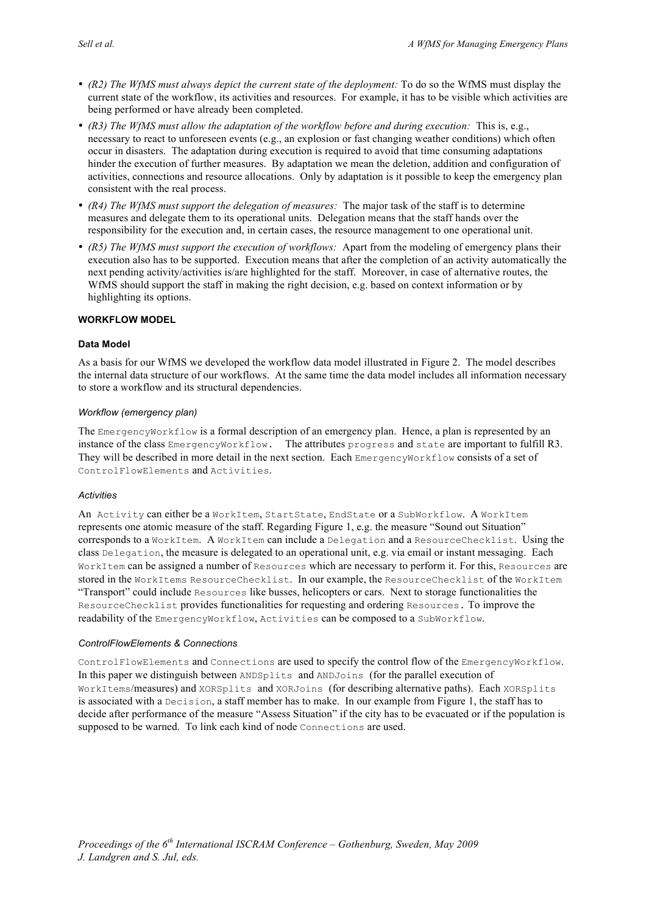- *(R2) The WfMS must always depict the current state of the deployment:* To do so the WfMS must display the current state of the workflow, its activities and resources. For example, it has to be visible which activities are being performed or have already been completed.
- *(R3) The WfMS must allow the adaptation of the workflow before and during execution:* This is, e.g., necessary to react to unforeseen events (e.g., an explosion or fast changing weather conditions) which often occur in disasters. The adaptation during execution is required to avoid that time consuming adaptations hinder the execution of further measures. By adaptation we mean the deletion, addition and configuration of activities, connections and resource allocations. Only by adaptation is it possible to keep the emergency plan consistent with the real process.
- *(R4) The WfMS must support the delegation of measures:* The major task of the staff is to determine measures and delegate them to its operational units. Delegation means that the staff hands over the responsibility for the execution and, in certain cases, the resource management to one operational unit.
- *(R5) The WfMS must support the execution of workflows:* Apart from the modeling of emergency plans their execution also has to be supported. Execution means that after the completion of an activity automatically the next pending activity/activities is/are highlighted for the staff. Moreover, in case of alternative routes, the WfMS should support the staff in making the right decision, e.g. based on context information or by highlighting its options.

## **WORKFLOW MODEL**

## **Data Model**

As a basis for our WfMS we developed the workflow data model illustrated in Figure 2. The model describes the internal data structure of our workflows. At the same time the data model includes all information necessary to store a workflow and its structural dependencies.

## *Workflow (emergency plan)*

The EmergencyWorkflow is a formal description of an emergency plan. Hence, a plan is represented by an instance of the class EmergencyWorkflow. The attributes progress and state are important to fulfill R3. They will be described in more detail in the next section. Each EmergencyWorkflow consists of a set of ControlFlowElements and Activities.

### *Activities*

An Activity can either be a WorkItem, StartState, EndState or a SubWorkflow. A WorkItem represents one atomic measure of the staff. Regarding Figure 1, e.g. the measure "Sound out Situation" corresponds to a WorkItem. A WorkItem can include a Delegation and a ResourceChecklist. Using the class Delegation, the measure is delegated to an operational unit, e.g. via email or instant messaging. Each WorkItem can be assigned a number of Resources which are necessary to perform it. For this, Resources are stored in the WorkItems ResourceChecklist. In our example, the ResourceChecklist of the WorkItem "Transport" could include Resources like busses, helicopters or cars. Next to storage functionalities the ResourceChecklist provides functionalities for requesting and ordering Resources. To improve the readability of the EmergencyWorkflow, Activities can be composed to a SubWorkflow.

### *ControlFlowElements & Connections*

ControlFlowElements and Connections are used to specify the control flow of the EmergencyWorkflow. In this paper we distinguish between ANDSplits and ANDJoins (for the parallel execution of WorkItems/measures) and XORSplits and XORJoins (for describing alternative paths). Each XORSplits is associated with a Decision, a staff member has to make. In our example from Figure 1, the staff has to decide after performance of the measure "Assess Situation" if the city has to be evacuated or if the population is supposed to be warned. To link each kind of node Connections are used.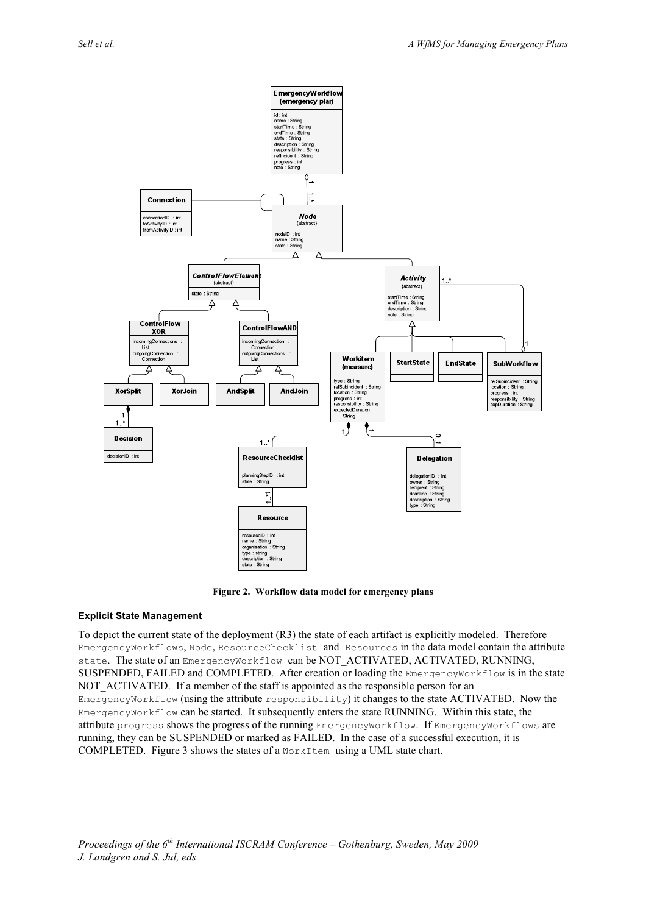

**Figure 2. Workflow data model for emergency plans**

# **Explicit State Management**

To depict the current state of the deployment (R3) the state of each artifact is explicitly modeled. Therefore EmergencyWorkflows, Node, ResourceChecklist and Resources in the data model contain the attribute state. The state of an EmergencyWorkflow can be NOT\_ACTIVATED, ACTIVATED, RUNNING, SUSPENDED, FAILED and COMPLETED. After creation or loading the EmergencyWorkflow is in the state NOT ACTIVATED. If a member of the staff is appointed as the responsible person for an EmergencyWorkflow (using the attribute responsibility) it changes to the state ACTIVATED. Now the EmergencyWorkflow can be started. It subsequently enters the state RUNNING. Within this state, the attribute progress shows the progress of the running EmergencyWorkflow. If EmergencyWorkflows are running, they can be SUSPENDED or marked as FAILED. In the case of a successful execution, it is COMPLETED. Figure 3 shows the states of a WorkItem using a UML state chart.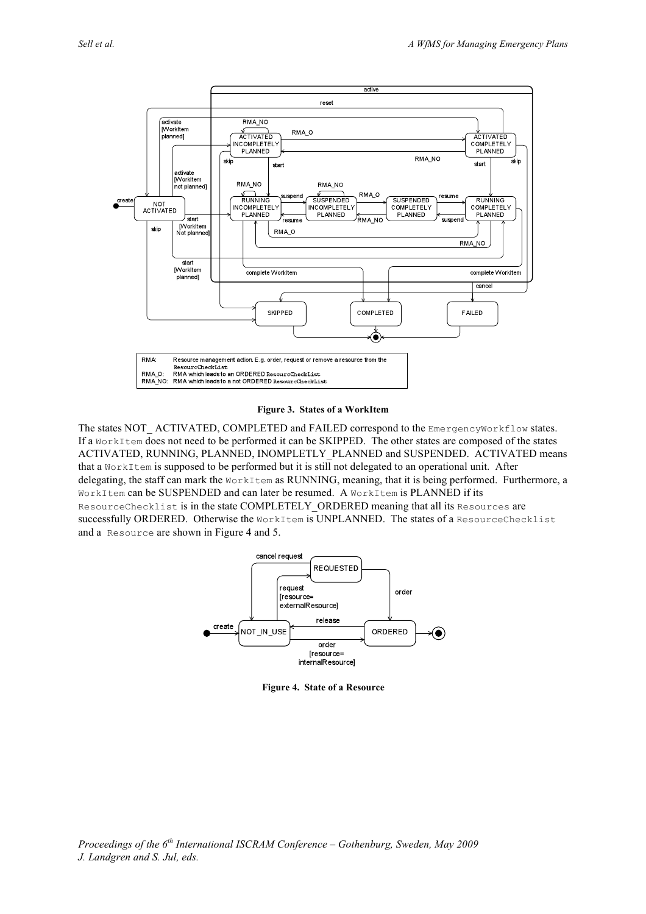

#### **Figure 3. States of a WorkItem**

The states NOT\_ACTIVATED, COMPLETED and FAILED correspond to the EmergencyWorkflow states. If a WorkItem does not need to be performed it can be SKIPPED. The other states are composed of the states ACTIVATED, RUNNING, PLANNED, INOMPLETLY\_PLANNED and SUSPENDED. ACTIVATED means that a WorkItem is supposed to be performed but it is still not delegated to an operational unit. After delegating, the staff can mark the WorkItem as RUNNING, meaning, that it is being performed. Furthermore, a WorkItem can be SUSPENDED and can later be resumed. A WorkItem is PLANNED if its ResourceChecklist is in the state COMPLETELY\_ORDERED meaning that all its Resources are successfully ORDERED. Otherwise the WorkItem is UNPLANNED. The states of a ResourceChecklist and a Resource are shown in Figure 4 and 5.



**Figure 4. State of a Resource**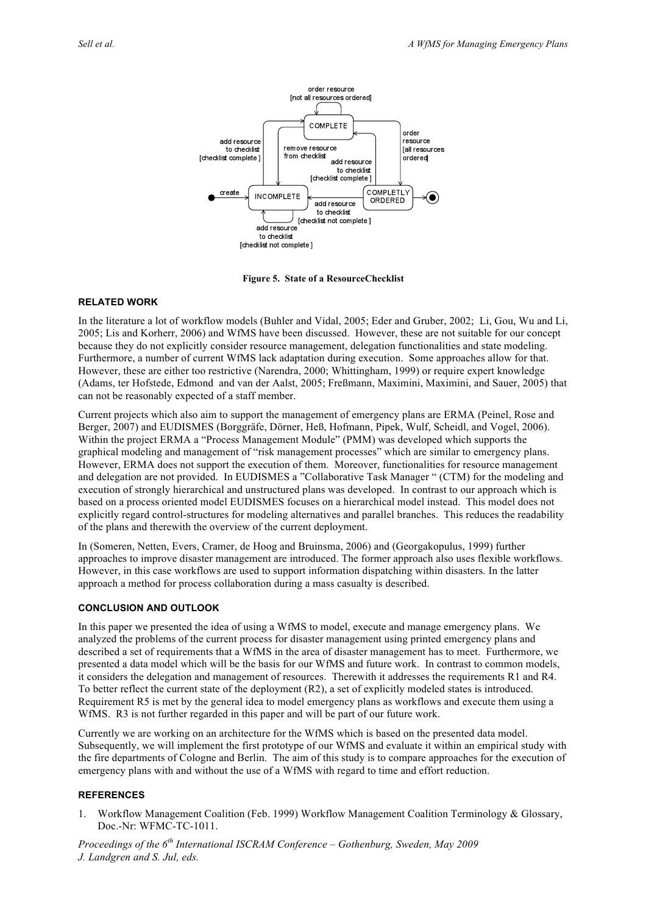

**Figure 5. State of a ResourceChecklist**

## **RELATED WORK**

In the literature a lot of workflow models (Buhler and Vidal, 2005; Eder and Gruber, 2002; Li, Gou, Wu and Li, 2005; Lis and Korherr, 2006) and WfMS have been discussed. However, these are not suitable for our concept because they do not explicitly consider resource management, delegation functionalities and state modeling. Furthermore, a number of current WfMS lack adaptation during execution. Some approaches allow for that. However, these are either too restrictive (Narendra, 2000; Whittingham, 1999) or require expert knowledge (Adams, ter Hofstede, Edmond and van der Aalst, 2005; Freßmann, Maximini, Maximini, and Sauer, 2005) that can not be reasonably expected of a staff member.

Current projects which also aim to support the management of emergency plans are ERMA (Peinel, Rose and Berger, 2007) and EUDISMES (Borggräfe, Dörner, Heß, Hofmann, Pipek, Wulf, Scheidl, and Vogel, 2006). Within the project ERMA a "Process Management Module" (PMM) was developed which supports the graphical modeling and management of "risk management processes" which are similar to emergency plans. However, ERMA does not support the execution of them. Moreover, functionalities for resource management and delegation are not provided. In EUDISMES a "Collaborative Task Manager " (CTM) for the modeling and execution of strongly hierarchical and unstructured plans was developed. In contrast to our approach which is based on a process oriented model EUDISMES focuses on a hierarchical model instead. This model does not explicitly regard control-structures for modeling alternatives and parallel branches. This reduces the readability of the plans and therewith the overview of the current deployment.

In (Someren, Netten, Evers, Cramer, de Hoog and Bruinsma, 2006) and (Georgakopulus, 1999) further approaches to improve disaster management are introduced. The former approach also uses flexible workflows. However, in this case workflows are used to support information dispatching within disasters. In the latter approach a method for process collaboration during a mass casualty is described.

# **CONCLUSION AND OUTLOOK**

In this paper we presented the idea of using a WfMS to model, execute and manage emergency plans. We analyzed the problems of the current process for disaster management using printed emergency plans and described a set of requirements that a WfMS in the area of disaster management has to meet. Furthermore, we presented a data model which will be the basis for our WfMS and future work. In contrast to common models, it considers the delegation and management of resources. Therewith it addresses the requirements R1 and R4. To better reflect the current state of the deployment (R2), a set of explicitly modeled states is introduced. Requirement R5 is met by the general idea to model emergency plans as workflows and execute them using a WfMS. R3 is not further regarded in this paper and will be part of our future work.

Currently we are working on an architecture for the WfMS which is based on the presented data model. Subsequently, we will implement the first prototype of our WfMS and evaluate it within an empirical study with the fire departments of Cologne and Berlin. The aim of this study is to compare approaches for the execution of emergency plans with and without the use of a WfMS with regard to time and effort reduction.

# **REFERENCES**

1. Workflow Management Coalition (Feb. 1999) Workflow Management Coalition Terminology & Glossary, Doc.-Nr: WFMC-TC-1011.

*Proceedings of the 6th International ISCRAM Conference – Gothenburg, Sweden, May 2009 J. Landgren and S. Jul, eds.*